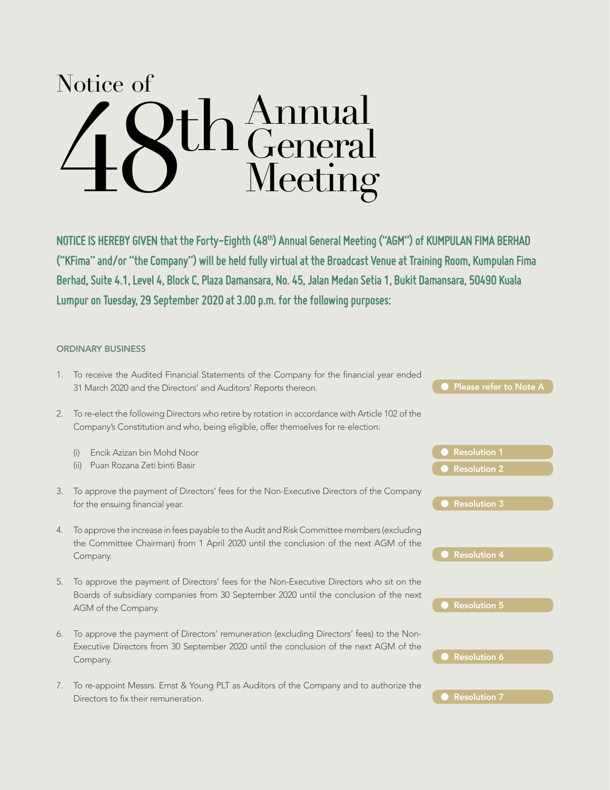# Annual General 48 Meeting th Notice of

NOTICE IS HEREBY GIVEN that the Forty-Eighth (48<sup>th</sup>) Annual General Meeting ("AGM") of KUMPULAN FIMA BERHAD **("KFima" and/or "the Company") will be held fully virtual at the Broadcast Venue at Training Room, Kumpulan Fima Berhad, Suite 4.1, Level 4, Block C, Plaza Damansara, No. 45, Jalan Medan Setia 1, Bukit Damansara, 50490 Kuala Lumpur on Tuesday, 29 September 2020 at 3.00 p.m. for the following purposes:**

#### ORDINARY BUSINESS

- 1. To receive the Audited Financial Statements of the Company for the financial year ended 31 March 2020 and the Directors' and Auditors' Reports thereon.
- 2. To re-elect the following Directors who retire by rotation in accordance with Article 102 of the Company's Constitution and who, being eligible, offer themselves for re-election:
	- (i) Encik Azizan bin Mohd Noor
	- (ii) Puan Rozana Zeti binti Basir
- 3. To approve the payment of Directors' fees for the Non-Executive Directors of the Company for the ensuing financial year.
- 4. To approve the increase in fees payable to the Audit and Risk Committee members (excluding the Committee Chairman) from 1 April 2020 until the conclusion of the next AGM of the Company.
- 5. To approve the payment of Directors' fees for the Non-Executive Directors who sit on the Boards of subsidiary companies from 30 September 2020 until the conclusion of the next AGM of the Company.
- 6. To approve the payment of Directors' remuneration (excluding Directors' fees) to the Non-Executive Directors from 30 September 2020 until the conclusion of the next AGM of the Company.
- 7. To re-appoint Messrs. Ernst & Young PLT as Auditors of the Company and to authorize the Directors to fix their remuneration.

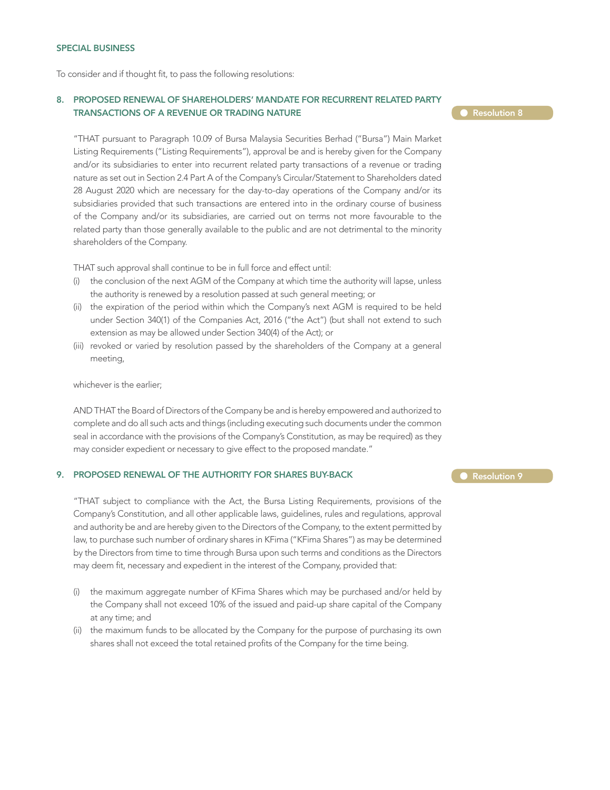To consider and if thought fit, to pass the following resolutions:

#### 8. PROPOSED RENEWAL OF SHAREHOLDERS' MANDATE FOR RECURRENT RELATED PARTY TRANSACTIONS OF A REVENUE OR TRADING NATURE

#### **Resolution 8**

"THAT pursuant to Paragraph 10.09 of Bursa Malaysia Securities Berhad ("Bursa") Main Market Listing Requirements ("Listing Requirements"), approval be and is hereby given for the Company and/or its subsidiaries to enter into recurrent related party transactions of a revenue or trading nature as set out in Section 2.4 Part A of the Company's Circular/Statement to Shareholders dated 28 August 2020 which are necessary for the day-to-day operations of the Company and/or its subsidiaries provided that such transactions are entered into in the ordinary course of business of the Company and/or its subsidiaries, are carried out on terms not more favourable to the related party than those generally available to the public and are not detrimental to the minority shareholders of the Company.

THAT such approval shall continue to be in full force and effect until:

- (i) the conclusion of the next AGM of the Company at which time the authority will lapse, unless the authority is renewed by a resolution passed at such general meeting; or
- (ii) the expiration of the period within which the Company's next AGM is required to be held under Section 340(1) of the Companies Act, 2016 ("the Act") (but shall not extend to such extension as may be allowed under Section 340(4) of the Act); or
- (iii) revoked or varied by resolution passed by the shareholders of the Company at a general meeting,

whichever is the earlier;

AND THAT the Board of Directors of the Company be and is hereby empowered and authorized to complete and do all such acts and things (including executing such documents under the common seal in accordance with the provisions of the Company's Constitution, as may be required) as they may consider expedient or necessary to give effect to the proposed mandate."

#### 9. PROPOSED RENEWAL OF THE AUTHORITY FOR SHARES BUY-BACK

"THAT subject to compliance with the Act, the Bursa Listing Requirements, provisions of the Company's Constitution, and all other applicable laws, guidelines, rules and regulations, approval and authority be and are hereby given to the Directors of the Company, to the extent permitted by law, to purchase such number of ordinary shares in KFima ("KFima Shares") as may be determined by the Directors from time to time through Bursa upon such terms and conditions as the Directors may deem fit, necessary and expedient in the interest of the Company, provided that:

- (i) the maximum aggregate number of KFima Shares which may be purchased and/or held by the Company shall not exceed 10% of the issued and paid-up share capital of the Company at any time; and
- (ii) the maximum funds to be allocated by the Company for the purpose of purchasing its own shares shall not exceed the total retained profits of the Company for the time being.

Resolution 9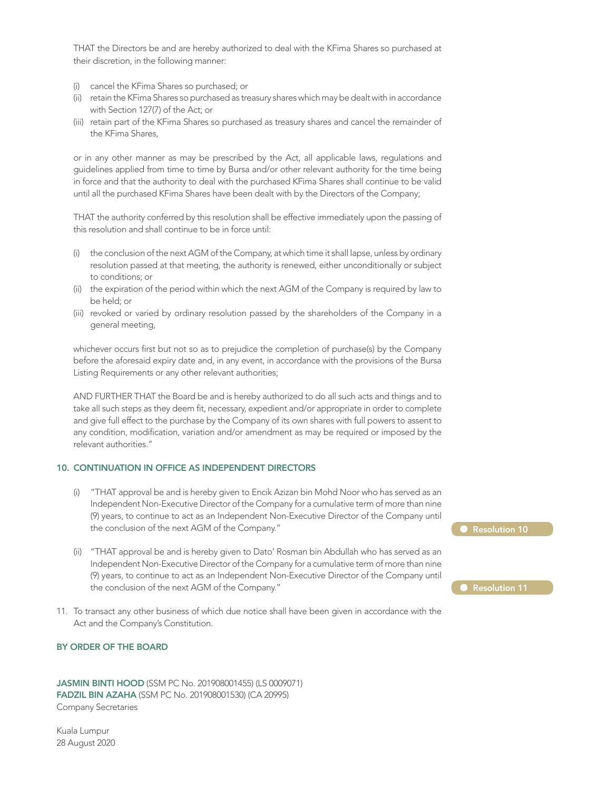THAT the Directors be and are hereby authorized to deal with the KFima Shares so purchased at their discretion, in the following manner:

- (i) cancel the KFima Shares so purchased; or
- (ii) retain the KFima Shares so purchased as treasury shares which may be dealt with in accordance with Section 127(7) of the Act; or
- (iii) retain part of the KFima Shares so purchased as treasury shares and cancel the remainder of the KFima Shares,

or in any other manner as may be prescribed by the Act, all applicable laws, regulations and guidelines applied from time to time by Bursa and/or other relevant authority for the time being in force and that the authority to deal with the purchased KFima Shares shall continue to be valid until all the purchased KFima Shares have been dealt with by the Directors of the Company;

THAT the authority conferred by this resolution shall be effective immediately upon the passing of this resolution and shall continue to be in force until:

- (i) the conclusion of the next AGM of the Company, at which time it shall lapse, unless by ordinary resolution passed at that meeting, the authority is renewed, either unconditionally or subject to conditions; or
- (ii) the expiration of the period within which the next AGM of the Company is required by law to be held; or
- (iii) revoked or varied by ordinary resolution passed by the shareholders of the Company in a general meeting,

whichever occurs first but not so as to prejudice the completion of purchase(s) by the Company before the aforesaid expiry date and, in any event, in accordance with the provisions of the Bursa Listing Requirements or any other relevant authorities;

AND FURTHER THAT the Board be and is hereby authorized to do all such acts and things and to take all such steps as they deem fit, necessary, expedient and/or appropriate in order to complete and give full effect to the purchase by the Company of its own shares with full powers to assent to any condition, modification, variation and/or amendment as may be required or imposed by the relevant authorities."

#### 10. CONTINUATION IN OFFICE AS INDEPENDENT DIRECTORS

- (i) "THAT approval be and is hereby given to Encik Azizan bin Mohd Noor who has served as an Independent Non-Executive Director of the Company for a cumulative term of more than nine (9) years, to continue to act as an Independent Non-Executive Director of the Company until the conclusion of the next AGM of the Company."
- (ii) "THAT approval be and is hereby given to Dato' Rosman bin Abdullah who has served as an Independent Non-Executive Director of the Company for a cumulative term of more than nine (9) years, to continue to act as an Independent Non-Executive Director of the Company until the conclusion of the next AGM of the Company."
- 11. To transact any other business of which due notice shall have been given in accordance with the Act and the Company's Constitution.

#### BY ORDER OF THE BOARD

JASMIN BINTI HOOD (SSM PC No. 201908001455) (LS 0009071) FADZIL BIN AZAHA (SSM PC No. 201908001530) (CA 20995) Company Secretaries

Kuala Lumpur 28 August 2020

| $\bullet$ Resolution 10 |  |
|-------------------------|--|
|                         |  |
|                         |  |
| Resolution 11           |  |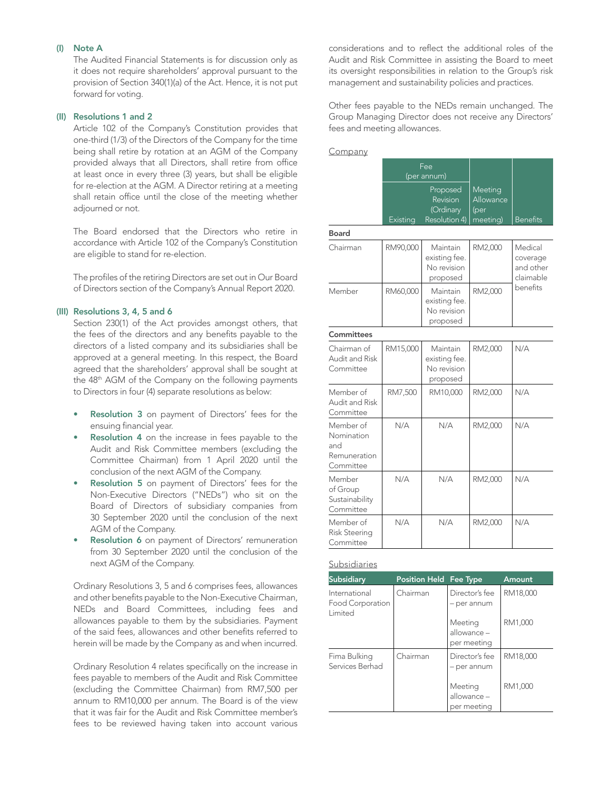#### (I) Note A

The Audited Financial Statements is for discussion only as it does not require shareholders' approval pursuant to the provision of Section 340(1)(a) of the Act. Hence, it is not put forward for voting.

#### (II) Resolutions 1 and 2

Article 102 of the Company's Constitution provides that one-third (1/3) of the Directors of the Company for the time being shall retire by rotation at an AGM of the Company provided always that all Directors, shall retire from office at least once in every three (3) years, but shall be eligible for re-election at the AGM. A Director retiring at a meeting shall retain office until the close of the meeting whether adjourned or not.

The Board endorsed that the Directors who retire in accordance with Article 102 of the Company's Constitution are eligible to stand for re-election.

 The profiles of the retiring Directors are set out in Our Board of Directors section of the Company's Annual Report 2020.

#### (III) Resolutions 3, 4, 5 and 6

Section 230(1) of the Act provides amongst others, that the fees of the directors and any benefits payable to the directors of a listed company and its subsidiaries shall be approved at a general meeting. In this respect, the Board agreed that the shareholders' approval shall be sought at the 48th AGM of the Company on the following payments to Directors in four (4) separate resolutions as below:

- Resolution 3 on payment of Directors' fees for the ensuing financial year.
- Resolution 4 on the increase in fees payable to the Audit and Risk Committee members (excluding the Committee Chairman) from 1 April 2020 until the conclusion of the next AGM of the Company.
- Resolution 5 on payment of Directors' fees for the Non-Executive Directors ("NEDs") who sit on the Board of Directors of subsidiary companies from 30 September 2020 until the conclusion of the next AGM of the Company.
- Resolution 6 on payment of Directors' remuneration from 30 September 2020 until the conclusion of the next AGM of the Company.

 Ordinary Resolutions 3, 5 and 6 comprises fees, allowances and other benefits payable to the Non-Executive Chairman, NEDs and Board Committees, including fees and allowances payable to them by the subsidiaries. Payment of the said fees, allowances and other benefits referred to herein will be made by the Company as and when incurred.

 Ordinary Resolution 4 relates specifically on the increase in fees payable to members of the Audit and Risk Committee (excluding the Committee Chairman) from RM7,500 per annum to RM10,000 per annum. The Board is of the view that it was fair for the Audit and Risk Committee member's fees to be reviewed having taken into account various considerations and to reflect the additional roles of the Audit and Risk Committee in assisting the Board to meet its oversight responsibilities in relation to the Group's risk management and sustainability policies and practices.

 Other fees payable to the NEDs remain unchanged. The Group Managing Director does not receive any Directors' fees and meeting allowances.

#### **Company**

|              | Fee<br>(per annum) |                                                    |                                           |                 |
|--------------|--------------------|----------------------------------------------------|-------------------------------------------|-----------------|
|              | Existina           | Proposed<br>Revision<br>(Ordinary<br>Resolution 4) | Meeting<br>Allowance<br>(per)<br>meeting) | <b>Benefits</b> |
| <b>Board</b> |                    |                                                    |                                           |                 |
| Chairman     | RM90,000           | Maintain                                           | RM2,000                                   | Medical         |

|                                                                                                                                | ,,,,,,,,,, | existing fee.<br>No revision<br>proposed             |         | coverage<br>and other<br>claimable<br>benefits |
|--------------------------------------------------------------------------------------------------------------------------------|------------|------------------------------------------------------|---------|------------------------------------------------|
| Member                                                                                                                         | RM60,000   | Maintain<br>existing fee.<br>No revision<br>proposed | RM2,000 |                                                |
| Committees                                                                                                                     |            |                                                      |         |                                                |
| Chairman of<br>Audit and Risk<br>Committee                                                                                     | RM15,000   | Maintain<br>existing fee.<br>No revision<br>proposed | RM2,000 | N/A                                            |
| Member of<br>Audit and Risk<br>Committee                                                                                       | RM7,500    | RM10,000                                             | RM2,000 | N/A                                            |
| Member of<br>N/A<br>Nomination<br>and<br>Remuneration<br>Committee<br>Member<br>N/A<br>of Group<br>Sustainability<br>Committee |            | N/A                                                  | RM2,000 | N/A                                            |
|                                                                                                                                |            | N/A                                                  | RM2,000 | N/A                                            |
| Member of<br><b>Risk Steering</b><br>Committee                                                                                 | N/A        | N/A                                                  | RM2,000 | N/A                                            |

#### Subsidiaries

| <b>Subsidiary</b>                                   | <b>Position Held Fee Type</b> |                                       | Amount   |
|-----------------------------------------------------|-------------------------------|---------------------------------------|----------|
| International<br><b>Food Corporation</b><br>Limited | Chairman                      | Director's fee<br>- per annum         | RM18,000 |
|                                                     |                               | Meeting<br>allowance -<br>per meeting | RM1,000  |
| Fima Bulking<br>Services Berhad                     | Chairman                      | Director's fee<br>- per annum         | RM18,000 |
|                                                     |                               | Meeting<br>allowance -<br>per meeting | RM1,000  |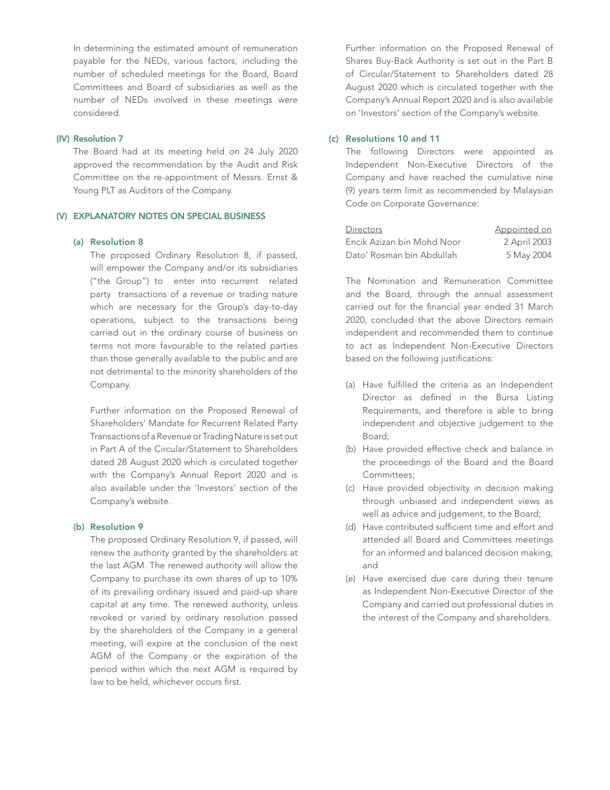In determining the estimated amount of remuneration payable for the NEDs, various factors, including the number of scheduled meetings for the Board, Board Committees and Board of subsidiaries as well as the number of NEDs involved in these meetings were considered.

#### (IV) Resolution 7

The Board had at its meeting held on 24 July 2020 approved the recommendation by the Audit and Risk Committee on the re-appointment of Messrs. Ernst & Young PLT as Auditors of the Company.

#### (V) EXPLANATORY NOTES ON SPECIAL BUSINESS

#### (a) Resolution 8

 The proposed Ordinary Resolution 8, if passed, will empower the Company and/or its subsidiaries ("the Group") to enter into recurrent related party transactions of a revenue or trading nature which are necessary for the Group's day-to-day operations, subject to the transactions being carried out in the ordinary course of business on terms not more favourable to the related parties than those generally available to the public and are not detrimental to the minority shareholders of the Company.

Further information on the Proposed Renewal of Shareholders' Mandate for Recurrent Related Party Transactions of a Revenue or Trading Nature is set out in Part A of the Circular/Statement to Shareholders dated 28 August 2020 which is circulated together with the Company's Annual Report 2020 and is also available under the 'Investors' section of the Company's website.

#### (b) Resolution 9

 The proposed Ordinary Resolution 9, if passed, will renew the authority granted by the shareholders at the last AGM. The renewed authority will allow the Company to purchase its own shares of up to 10% of its prevailing ordinary issued and paid-up share capital at any time. The renewed authority, unless revoked or varied by ordinary resolution passed by the shareholders of the Company in a general meeting, will expire at the conclusion of the next AGM of the Company or the expiration of the period within which the next AGM is required by law to be held, whichever occurs first.

Further information on the Proposed Renewal of Shares Buy-Back Authority is set out in the Part B of Circular/Statement to Shareholders dated 28 August 2020 which is circulated together with the Company's Annual Report 2020 and is also available on 'Investors' section of the Company's website.

#### (c) Resolutions 10 and 11

The following Directors were appointed as Independent Non-Executive Directors of the Company and have reached the cumulative nine (9) years term limit as recommended by Malaysian Code on Corporate Governance:

| <b>Directors</b>           | Appointed on |
|----------------------------|--------------|
| Encik Azizan bin Mohd Noor | 2 April 2003 |
| Dato' Rosman bin Abdullah  | 5 May 2004   |

The Nomination and Remuneration Committee and the Board, through the annual assessment carried out for the financial year ended 31 March 2020, concluded that the above Directors remain independent and recommended them to continue to act as Independent Non-Executive Directors based on the following justifications:

- (a) Have fulfilled the criteria as an Independent Director as defined in the Bursa Listing Requirements, and therefore is able to bring independent and objective judgement to the Board;
- (b) Have provided effective check and balance in the proceedings of the Board and the Board Committees;
- (c) Have provided objectivity in decision making through unbiased and independent views as well as advice and judgement, to the Board;
- (d) Have contributed sufficient time and effort and attended all Board and Committees meetings for an informed and balanced decision making; and
- (e) Have exercised due care during their tenure as Independent Non-Executive Director of the Company and carried out professional duties in the interest of the Company and shareholders.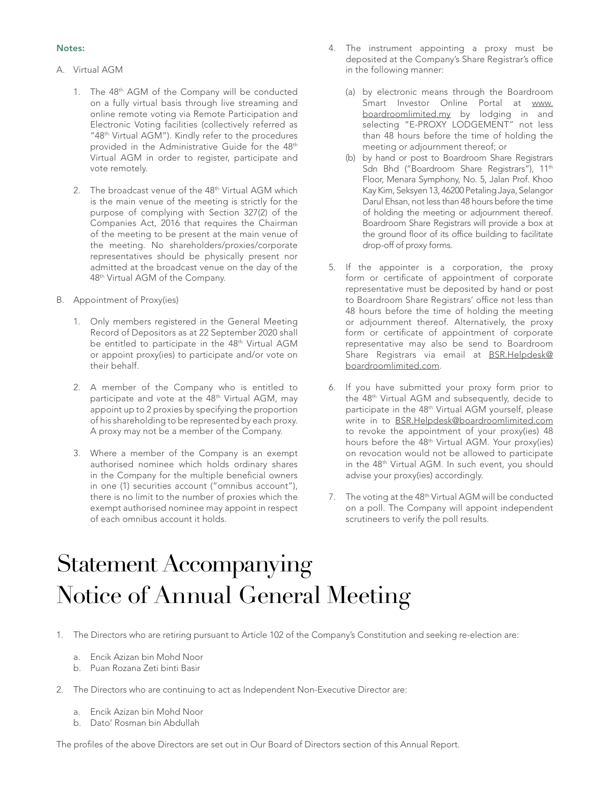#### Notes:

- A. Virtual AGM
	- 1. The 48th AGM of the Company will be conducted on a fully virtual basis through live streaming and online remote voting via Remote Participation and Electronic Voting facilities (collectively referred as "48th Virtual AGM"). Kindly refer to the procedures provided in the Administrative Guide for the 48<sup>th</sup> Virtual AGM in order to register, participate and vote remotely.
	- 2. The broadcast venue of the 48<sup>th</sup> Virtual AGM which is the main venue of the meeting is strictly for the purpose of complying with Section 327(2) of the Companies Act, 2016 that requires the Chairman of the meeting to be present at the main venue of the meeting. No shareholders/proxies/corporate representatives should be physically present nor admitted at the broadcast venue on the day of the 48th Virtual AGM of the Company.
- B. Appointment of Proxy(ies)
	- 1. Only members registered in the General Meeting Record of Depositors as at 22 September 2020 shall be entitled to participate in the 48<sup>th</sup> Virtual AGM or appoint proxy(ies) to participate and/or vote on their behalf.
	- 2. A member of the Company who is entitled to participate and vote at the 48<sup>th</sup> Virtual AGM, may appoint up to 2 proxies by specifying the proportion of his shareholding to be represented by each proxy. A proxy may not be a member of the Company.
	- 3. Where a member of the Company is an exempt authorised nominee which holds ordinary shares in the Company for the multiple beneficial owners in one (1) securities account ("omnibus account"), there is no limit to the number of proxies which the exempt authorised nominee may appoint in respect of each omnibus account it holds.
- 4. The instrument appointing a proxy must be deposited at the Company's Share Registrar's office in the following manner:
	- (a) by electronic means through the Boardroom Smart Investor Online Portal at www. boardroomlimited.my by lodging in and selecting "E-PROXY LODGEMENT" not less than 48 hours before the time of holding the meeting or adjournment thereof; or
	- (b) by hand or post to Boardroom Share Registrars Sdn Bhd ("Boardroom Share Registrars"), 11<sup>th</sup> Floor, Menara Symphony, No. 5, Jalan Prof. Khoo Kay Kim, Seksyen 13, 46200 Petaling Jaya, Selangor Darul Ehsan, not less than 48 hours before the time of holding the meeting or adjournment thereof. Boardroom Share Registrars will provide a box at the ground floor of its office building to facilitate drop-off of proxy forms.
- 5. If the appointer is a corporation, the proxy form or certificate of appointment of corporate representative must be deposited by hand or post to Boardroom Share Registrars' office not less than 48 hours before the time of holding the meeting or adjournment thereof. Alternatively, the proxy form or certificate of appointment of corporate representative may also be send to Boardroom Share Registrars via email at **BSR.Helpdesk@** boardroomlimited.com.
- 6. If you have submitted your proxy form prior to the 48th Virtual AGM and subsequently, decide to participate in the 48<sup>th</sup> Virtual AGM yourself, please write in to BSR.Helpdesk@boardroomlimited.com to revoke the appointment of your proxy(ies) 48 hours before the 48th Virtual AGM. Your proxy(ies) on revocation would not be allowed to participate in the 48<sup>th</sup> Virtual AGM. In such event, you should advise your proxy(ies) accordingly.
- 7. The voting at the 48<sup>th</sup> Virtual AGM will be conducted on a poll. The Company will appoint independent scrutineers to verify the poll results.

### Statement Accompanying Notice of Annual General Meeting

1. The Directors who are retiring pursuant to Article 102 of the Company's Constitution and seeking re-election are:

- a. Encik Azizan bin Mohd Noor
- b. Puan Rozana Zeti binti Basir
- 2. The Directors who are continuing to act as Independent Non-Executive Director are:
	- a. Encik Azizan bin Mohd Noor
	- b. Dato' Rosman bin Abdullah

The profiles of the above Directors are set out in Our Board of Directors section of this Annual Report.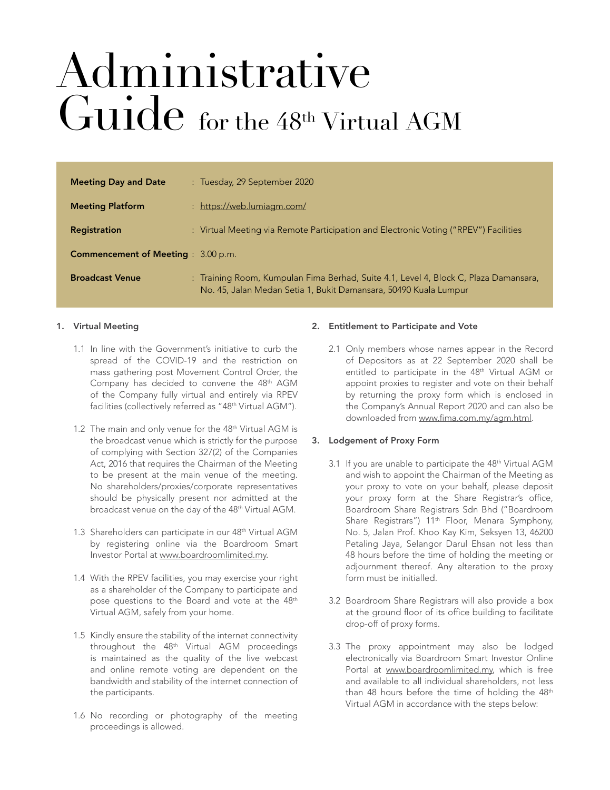## Administrative Guide for the 48th Virtual AGM

| <b>Meeting Day and Date</b>                | : Tuesday, 29 September 2020                                                                                                                             |
|--------------------------------------------|----------------------------------------------------------------------------------------------------------------------------------------------------------|
| <b>Meeting Platform</b>                    | : https://web.lumiagm.com/                                                                                                                               |
| <b>Registration</b>                        | : Virtual Meeting via Remote Participation and Electronic Voting ("RPEV") Facilities                                                                     |
| <b>Commencement of Meeting</b> : 3.00 p.m. |                                                                                                                                                          |
| <b>Broadcast Venue</b>                     | : Training Room, Kumpulan Fima Berhad, Suite 4.1, Level 4, Block C, Plaza Damansara,<br>No. 45, Jalan Medan Setia 1, Bukit Damansara, 50490 Kuala Lumpur |

#### 1. Virtual Meeting

- 1.1 In line with the Government's initiative to curb the spread of the COVID-19 and the restriction on mass gathering post Movement Control Order, the Company has decided to convene the 48th AGM of the Company fully virtual and entirely via RPEV facilities (collectively referred as "48<sup>th</sup> Virtual AGM").
- 1.2 The main and only venue for the 48<sup>th</sup> Virtual AGM is the broadcast venue which is strictly for the purpose of complying with Section 327(2) of the Companies Act, 2016 that requires the Chairman of the Meeting to be present at the main venue of the meeting. No shareholders/proxies/corporate representatives should be physically present nor admitted at the broadcast venue on the day of the 48<sup>th</sup> Virtual AGM.
- 1.3 Shareholders can participate in our 48<sup>th</sup> Virtual AGM by registering online via the Boardroom Smart Investor Portal at www.boardroomlimited.my.
- 1.4 With the RPEV facilities, you may exercise your right as a shareholder of the Company to participate and pose questions to the Board and vote at the 48th Virtual AGM, safely from your home.
- 1.5 Kindly ensure the stability of the internet connectivity throughout the 48<sup>th</sup> Virtual AGM proceedings is maintained as the quality of the live webcast and online remote voting are dependent on the bandwidth and stability of the internet connection of the participants.
- 1.6 No recording or photography of the meeting proceedings is allowed.

#### 2. Entitlement to Participate and Vote

2.1 Only members whose names appear in the Record of Depositors as at 22 September 2020 shall be entitled to participate in the 48<sup>th</sup> Virtual AGM or appoint proxies to register and vote on their behalf by returning the proxy form which is enclosed in the Company's Annual Report 2020 and can also be downloaded from www.fima.com.my/agm.html.

#### 3. Lodgement of Proxy Form

- 3.1 If you are unable to participate the 48<sup>th</sup> Virtual AGM and wish to appoint the Chairman of the Meeting as your proxy to vote on your behalf, please deposit your proxy form at the Share Registrar's office, Boardroom Share Registrars Sdn Bhd ("Boardroom Share Registrars") 11<sup>th</sup> Floor, Menara Symphony, No. 5, Jalan Prof. Khoo Kay Kim, Seksyen 13, 46200 Petaling Jaya, Selangor Darul Ehsan not less than 48 hours before the time of holding the meeting or adjournment thereof. Any alteration to the proxy form must be initialled.
- 3.2 Boardroom Share Registrars will also provide a box at the ground floor of its office building to facilitate drop-off of proxy forms.
- 3.3 The proxy appointment may also be lodged electronically via Boardroom Smart Investor Online Portal at www.boardroomlimited.my, which is free and available to all individual shareholders, not less than 48 hours before the time of holding the 48th Virtual AGM in accordance with the steps below: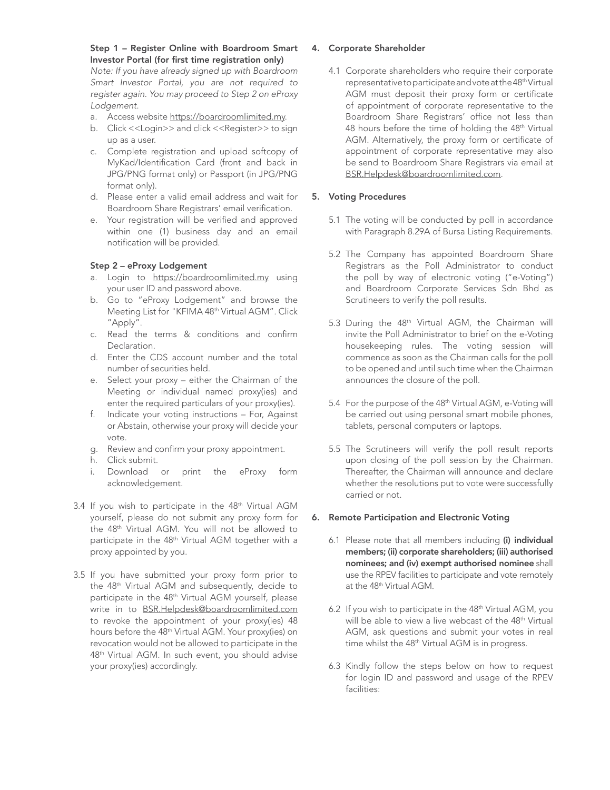#### Step 1 – Register Online with Boardroom Smart Investor Portal (for first time registration only)

*Note: If you have already signed up with Boardroom Smart Investor Portal, you are not required to register again. You may proceed to Step 2 on eProxy Lodgement.*

- a. Access website https://boardroomlimited.my.
- b. Click <<Login>> and click <<Register>> to sign up as a user.
- c. Complete registration and upload softcopy of MyKad/Identification Card (front and back in JPG/PNG format only) or Passport (in JPG/PNG format only).
- d. Please enter a valid email address and wait for Boardroom Share Registrars' email verification.
- e. Your registration will be verified and approved within one (1) business day and an email notification will be provided.

#### Step 2 – eProxy Lodgement

- a. Login to https://boardroomlimited.my using your user ID and password above.
- b. Go to "eProxy Lodgement" and browse the Meeting List for "KFIMA 48<sup>th</sup> Virtual AGM". Click "Apply".
- c. Read the terms & conditions and confirm Declaration.
- d. Enter the CDS account number and the total number of securities held.
- e. Select your proxy either the Chairman of the Meeting or individual named proxy(ies) and enter the required particulars of your proxy(ies).
- f. Indicate your voting instructions For, Against or Abstain, otherwise your proxy will decide your vote.
- g. Review and confirm your proxy appointment.
- h. Click submit.
- i. Download or print the eProxy form acknowledgement.
- 3.4 If you wish to participate in the 48<sup>th</sup> Virtual AGM yourself, please do not submit any proxy form for the 48th Virtual AGM. You will not be allowed to participate in the 48<sup>th</sup> Virtual AGM together with a proxy appointed by you.
- 3.5 If you have submitted your proxy form prior to the 48th Virtual AGM and subsequently, decide to participate in the 48th Virtual AGM yourself, please write in to BSR.Helpdesk@boardroomlimited.com to revoke the appointment of your proxy(ies) 48 hours before the 48th Virtual AGM. Your proxy(ies) on revocation would not be allowed to participate in the 48th Virtual AGM. In such event, you should advise your proxy(ies) accordingly.

#### 4. Corporate Shareholder

4.1 Corporate shareholders who require their corporate representative to participate and vote at the 48th Virtual AGM must deposit their proxy form or certificate of appointment of corporate representative to the Boardroom Share Registrars' office not less than 48 hours before the time of holding the 48<sup>th</sup> Virtual AGM. Alternatively, the proxy form or certificate of appointment of corporate representative may also be send to Boardroom Share Registrars via email at BSR.Helpdesk@boardroomlimited.com.

#### 5. Voting Procedures

- 5.1 The voting will be conducted by poll in accordance with Paragraph 8.29A of Bursa Listing Requirements.
- 5.2 The Company has appointed Boardroom Share Registrars as the Poll Administrator to conduct the poll by way of electronic voting ("e-Voting") and Boardroom Corporate Services Sdn Bhd as Scrutineers to verify the poll results.
- 5.3 During the 48th Virtual AGM, the Chairman will invite the Poll Administrator to brief on the e-Voting housekeeping rules. The voting session will commence as soon as the Chairman calls for the poll to be opened and until such time when the Chairman announces the closure of the poll.
- 5.4 For the purpose of the 48th Virtual AGM, e-Voting will be carried out using personal smart mobile phones, tablets, personal computers or laptops.
- 5.5 The Scrutineers will verify the poll result reports upon closing of the poll session by the Chairman. Thereafter, the Chairman will announce and declare whether the resolutions put to vote were successfully carried or not.

#### 6. Remote Participation and Electronic Voting

- 6.1 Please note that all members including (i) individual members; (ii) corporate shareholders; (iii) authorised nominees; and (iv) exempt authorised nominee shall use the RPEV facilities to participate and vote remotely at the 48<sup>th</sup> Virtual AGM.
- 6.2 If you wish to participate in the 48<sup>th</sup> Virtual AGM, you will be able to view a live webcast of the 48<sup>th</sup> Virtual AGM, ask questions and submit your votes in real time whilst the 48<sup>th</sup> Virtual AGM is in progress.
- 6.3 Kindly follow the steps below on how to request for login ID and password and usage of the RPEV facilities: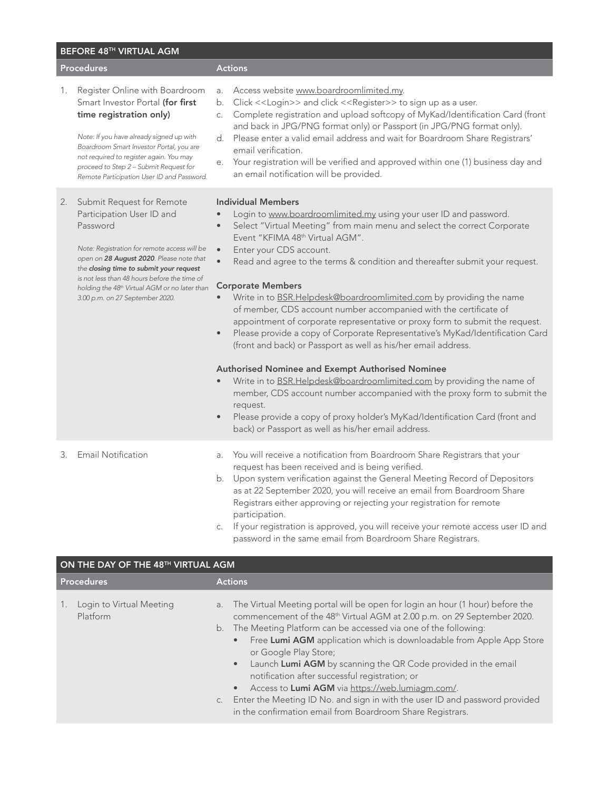| BEFORE 48TH VIRTUAL AGM |                                                                                                                                                                                                                                                                                                                                                           |                                                                                                                                                                                                                                                                                                                                                                                                                                                                                                                                                                                                                                                                                                                                                                                                                                                                                                                                                                                                                                                                                                                                                                                             |  |
|-------------------------|-----------------------------------------------------------------------------------------------------------------------------------------------------------------------------------------------------------------------------------------------------------------------------------------------------------------------------------------------------------|---------------------------------------------------------------------------------------------------------------------------------------------------------------------------------------------------------------------------------------------------------------------------------------------------------------------------------------------------------------------------------------------------------------------------------------------------------------------------------------------------------------------------------------------------------------------------------------------------------------------------------------------------------------------------------------------------------------------------------------------------------------------------------------------------------------------------------------------------------------------------------------------------------------------------------------------------------------------------------------------------------------------------------------------------------------------------------------------------------------------------------------------------------------------------------------------|--|
| <b>Procedures</b>       |                                                                                                                                                                                                                                                                                                                                                           | <b>Actions</b>                                                                                                                                                                                                                                                                                                                                                                                                                                                                                                                                                                                                                                                                                                                                                                                                                                                                                                                                                                                                                                                                                                                                                                              |  |
| 1.                      | Register Online with Boardroom<br>Smart Investor Portal (for first<br>time registration only)<br>Note: If you have already signed up with<br>Boardroom Smart Investor Portal, you are<br>not required to register again. You may<br>proceed to Step 2 - Submit Request for<br>Remote Participation User ID and Password.                                  | Access website www.boardroomlimited.my.<br>a.<br>Click < <login>&gt; and click &lt;<register>&gt; to sign up as a user.<br/>b.<br/>Complete registration and upload softcopy of MyKad/Identification Card (front<br/>С.<br/>and back in JPG/PNG format only) or Passport (in JPG/PNG format only).<br/>d. Please enter a valid email address and wait for Boardroom Share Registrars'<br/>email verification.<br/>Your registration will be verified and approved within one (1) business day and<br/>е.<br/>an email notification will be provided.</register></login>                                                                                                                                                                                                                                                                                                                                                                                                                                                                                                                                                                                                                     |  |
| 2.                      | Submit Request for Remote<br>Participation User ID and<br>Password<br>Note: Registration for remote access will be<br>open on 28 August 2020. Please note that<br>the closing time to submit your request<br>is not less than 48 hours before the time of<br>holding the 48 <sup>th</sup> Virtual AGM or no later than<br>3.00 p.m. on 27 September 2020. | <b>Individual Members</b><br>Login to www.boardroomlimited.my using your user ID and password.<br>Select "Virtual Meeting" from main menu and select the correct Corporate<br>$\bullet$<br>Event "KFIMA 48th Virtual AGM".<br>Enter your CDS account.<br>$\qquad \qquad \bullet$<br>$\bullet$<br>Read and agree to the terms & condition and thereafter submit your request.<br><b>Corporate Members</b><br>Write in to BSR.Helpdesk@boardroomlimited.com by providing the name<br>$\bullet$<br>of member, CDS account number accompanied with the certificate of<br>appointment of corporate representative or proxy form to submit the request.<br>Please provide a copy of Corporate Representative's MyKad/Identification Card<br>$\bullet$<br>(front and back) or Passport as well as his/her email address.<br>Authorised Nominee and Exempt Authorised Nominee<br>Write in to BSR.Helpdesk@boardroomlimited.com by providing the name of<br>member, CDS account number accompanied with the proxy form to submit the<br>request.<br>Please provide a copy of proxy holder's MyKad/Identification Card (front and<br>$\bullet$<br>back) or Passport as well as his/her email address. |  |
| 3.                      | <b>Email Notification</b>                                                                                                                                                                                                                                                                                                                                 | You will receive a notification from Boardroom Share Registrars that your<br>a.<br>request has been received and is being verified.<br>b. Upon system verification against the General Meeting Record of Depositors<br>as at 22 September 2020, you will receive an email from Boardroom Share<br>Registrars either approving or rejecting your registration for remote<br>participation.<br>If your registration is approved you will resolve your remate access user $D$ and                                                                                                                                                                                                                                                                                                                                                                                                                                                                                                                                                                                                                                                                                                              |  |

c. If your registration is approved, you will receive your remote access user ID and password in the same email from Boardroom Share Registrars.

| ON THE DAY OF THE 48 <sup>TH</sup> VIRTUAL AGM |                                                                                                                                                                                                                                                                                                                                                                                                                                                                                                                                                                                                                                                                                         |  |  |
|------------------------------------------------|-----------------------------------------------------------------------------------------------------------------------------------------------------------------------------------------------------------------------------------------------------------------------------------------------------------------------------------------------------------------------------------------------------------------------------------------------------------------------------------------------------------------------------------------------------------------------------------------------------------------------------------------------------------------------------------------|--|--|
| <b>Procedures</b>                              | <b>Actions</b>                                                                                                                                                                                                                                                                                                                                                                                                                                                                                                                                                                                                                                                                          |  |  |
| Login to Virtual Meeting<br>Platform           | The Virtual Meeting portal will be open for login an hour (1 hour) before the<br>a.<br>commencement of the 48 <sup>th</sup> Virtual AGM at 2.00 p.m. on 29 September 2020.<br>b. The Meeting Platform can be accessed via one of the following:<br>Free Lumi AGM application which is downloadable from Apple App Store<br>or Google Play Store;<br>Launch Lumi AGM by scanning the QR Code provided in the email<br>$\bullet$<br>notification after successful registration; or<br>Access to Lumi AGM via https://web.lumiagm.com/.<br>Enter the Meeting ID No. and sign in with the user ID and password provided<br>C.<br>in the confirmation email from Boardroom Share Registrars. |  |  |